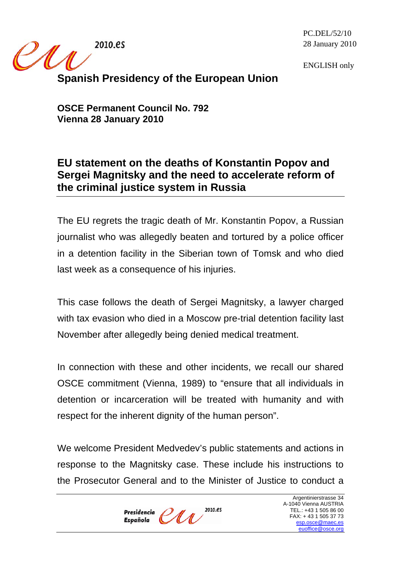2010.es

<u>IMA</u>

PC.DEL/52/10 28 January 2010

ENGLISH only

## **Spanish Presidency of the European Union**

**OSCE Permanent Council No. 792 Vienna 28 January 2010** 

## **EU statement on the deaths of Konstantin Popov and Sergei Magnitsky and the need to accelerate reform of the criminal justice system in Russia**

The EU regrets the tragic death of Mr. Konstantin Popov, a Russian journalist who was allegedly beaten and tortured by a police officer in a detention facility in the Siberian town of Tomsk and who died last week as a consequence of his injuries.

This case follows the death of Sergei Magnitsky, a lawyer charged with tax evasion who died in a Moscow pre-trial detention facility last November after allegedly being denied medical treatment.

In connection with these and other incidents, we recall our shared OSCE commitment (Vienna, 1989) to "ensure that all individuals in detention or incarceration will be treated with humanity and with respect for the inherent dignity of the human person".

We welcome President Medvedev's public statements and actions in response to the Magnitsky case. These include his instructions to the Prosecutor General and to the Minister of Justice to conduct a

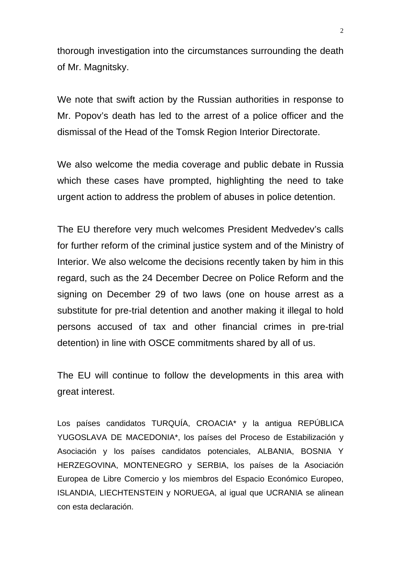thorough investigation into the circumstances surrounding the death of Mr. Magnitsky.

We note that swift action by the Russian authorities in response to Mr. Popov's death has led to the arrest of a police officer and the dismissal of the Head of the Tomsk Region Interior Directorate.

We also welcome the media coverage and public debate in Russia which these cases have prompted, highlighting the need to take urgent action to address the problem of abuses in police detention.

The EU therefore very much welcomes President Medvedev's calls for further reform of the criminal justice system and of the Ministry of Interior. We also welcome the decisions recently taken by him in this regard, such as the 24 December Decree on Police Reform and the signing on December 29 of two laws (one on house arrest as a substitute for pre-trial detention and another making it illegal to hold persons accused of tax and other financial crimes in pre-trial detention) in line with OSCE commitments shared by all of us.

The EU will continue to follow the developments in this area with great interest.

Los países candidatos TURQUÍA, CROACIA\* y la antigua REPÚBLICA YUGOSLAVA DE MACEDONIA\*, los países del Proceso de Estabilización y Asociación y los países candidatos potenciales, ALBANIA, BOSNIA Y HERZEGOVINA, MONTENEGRO y SERBIA, los países de la Asociación Europea de Libre Comercio y los miembros del Espacio Económico Europeo, ISLANDIA, LIECHTENSTEIN y NORUEGA, al igual que UCRANIA se alinean con esta declaración.